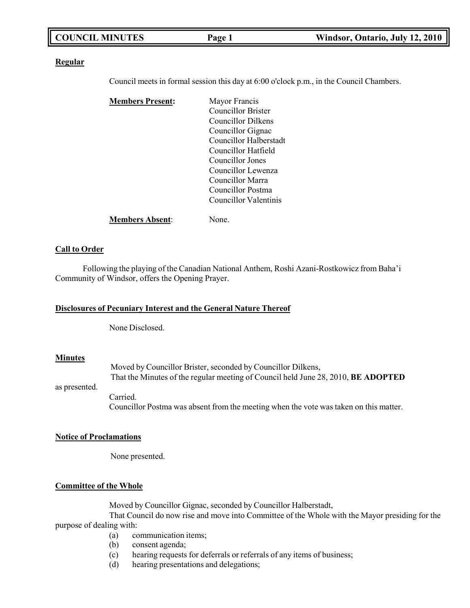|--|

#### **Regular**

Council meets in formal session this day at 6:00 o'clock p.m., in the Council Chambers.

| <b>Members Present:</b> | Mayor Francis          |
|-------------------------|------------------------|
|                         | Councillor Brister     |
|                         | Councillor Dilkens     |
|                         | Councillor Gignac      |
|                         | Councillor Halberstadt |
|                         | Councillor Hatfield    |
|                         | Councillor Jones       |
|                         | Councillor Lewenza     |
|                         | Councillor Marra       |
|                         | Councillor Postma      |
|                         | Councillor Valentinis  |
| <b>Members Absent:</b>  | None.                  |

### **Call to Order**

Following the playing of the Canadian National Anthem, Roshi Azani-Rostkowicz from Baha'i Community of Windsor, offers the Opening Prayer.

#### **Disclosures of Pecuniary Interest and the General Nature Thereof**

None Disclosed.

#### **Minutes**

|               | Moved by Councillor Brister, seconded by Councillor Dilkens,                             |  |  |
|---------------|------------------------------------------------------------------------------------------|--|--|
|               | That the Minutes of the regular meeting of Council held June 28, 2010, <b>BE ADOPTED</b> |  |  |
| as presented. |                                                                                          |  |  |
|               | Carried.                                                                                 |  |  |
|               | Councillor Postma was absent from the meeting when the vote was taken on this matter.    |  |  |

## **Notice of Proclamations**

None presented.

## **Committee of the Whole**

Moved by Councillor Gignac, seconded by Councillor Halberstadt,

That Council do now rise and move into Committee of the Whole with the Mayor presiding for the purpose of dealing with:

- (a) communication items;
- (b) consent agenda;
- (c) hearing requests for deferrals or referrals of any items of business;
- (d) hearing presentations and delegations;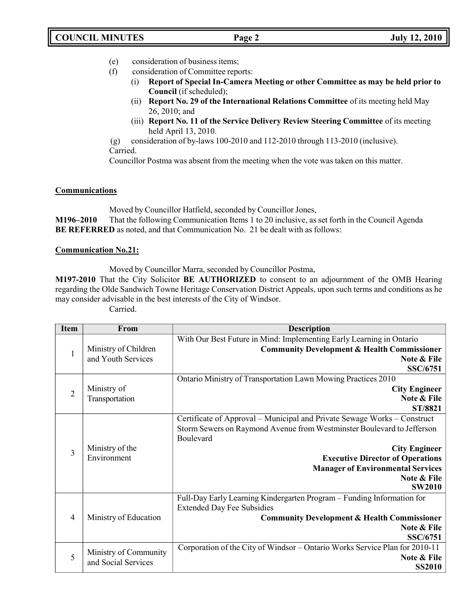- (e) consideration of business items;
- (f) consideration of Committee reports:
	- (i) **Report of Special In-Camera Meeting or other Committee as may be held prior to Council** (if scheduled);
	- (ii) **Report No. 29 of the International Relations Committee** of its meeting held May 26, 2010; and
	- (iii) **Report No. 11 of the Service Delivery Review Steering Committee** of its meeting held April 13, 2010.
- (g) consideration of by-laws 100-2010 and 112-2010 through 113-2010 (inclusive). Carried.

Councillor Postma was absent from the meeting when the vote was taken on this matter.

# **Communications**

Moved by Councillor Hatfield, seconded by Councillor Jones,

**M196–2010** That the following Communication Items 1 to 20 inclusive, as set forth in the Council Agenda **BE REFERRED** as noted, and that Communication No. 21 be dealt with as follows:

# **Communication No.21:**

Moved by Councillor Marra, seconded by Councillor Postma,

**M197-2010** That the City Solicitor **BE AUTHORIZED** to consent to an adjournment of the OMB Hearing regarding the Olde Sandwich Towne Heritage Conservation District Appeals, upon such terms and conditions as he may consider advisable in the best interests of the City of Windsor.

Carried.

| <b>Item</b>    | From                                         | <b>Description</b>                                                                                                                                                                                                                                                                                             |
|----------------|----------------------------------------------|----------------------------------------------------------------------------------------------------------------------------------------------------------------------------------------------------------------------------------------------------------------------------------------------------------------|
| $\mathbf{1}$   | Ministry of Children<br>and Youth Services   | With Our Best Future in Mind: Implementing Early Learning in Ontario<br><b>Community Development &amp; Health Commissioner</b><br>Note & File<br><b>SSC/6751</b>                                                                                                                                               |
| $\overline{2}$ | Ministry of<br>Transportation                | Ontario Ministry of Transportation Lawn Mowing Practices 2010<br><b>City Engineer</b><br>Note & File<br>ST/8821                                                                                                                                                                                                |
| 3              | Ministry of the<br>Environment               | Certificate of Approval – Municipal and Private Sewage Works – Construct<br>Storm Sewers on Raymond Avenue from Westminster Boulevard to Jefferson<br>Boulevard<br><b>City Engineer</b><br><b>Executive Director of Operations</b><br><b>Manager of Environmental Services</b><br>Note & File<br><b>SW2010</b> |
| 4              | Ministry of Education                        | Full-Day Early Learning Kindergarten Program - Funding Information for<br><b>Extended Day Fee Subsidies</b><br><b>Community Development &amp; Health Commissioner</b><br>Note & File<br><b>SSC/6751</b>                                                                                                        |
| 5              | Ministry of Community<br>and Social Services | Corporation of the City of Windsor – Ontario Works Service Plan for 2010-11<br>Note & File<br><b>SS2010</b>                                                                                                                                                                                                    |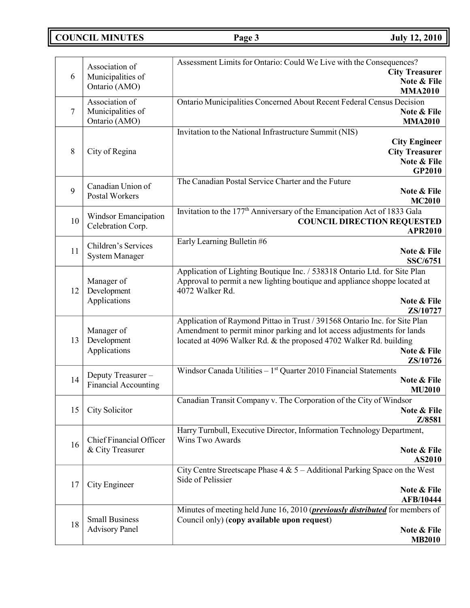**COUNCIL MINUTES Page 3 July 12, 2010**

| 6      | Association of<br>Municipalities of<br>Ontario (AMO) | Assessment Limits for Ontario: Could We Live with the Consequences?<br><b>City Treasurer</b><br>Note & File                                                                                                                                           |
|--------|------------------------------------------------------|-------------------------------------------------------------------------------------------------------------------------------------------------------------------------------------------------------------------------------------------------------|
| $\tau$ | Association of<br>Municipalities of<br>Ontario (AMO) | <b>MMA2010</b><br>Ontario Municipalities Concerned About Recent Federal Census Decision<br>Note & File<br><b>MMA2010</b>                                                                                                                              |
| 8      | City of Regina                                       | Invitation to the National Infrastructure Summit (NIS)<br><b>City Engineer</b><br><b>City Treasurer</b><br>Note & File<br>GP2010                                                                                                                      |
| 9      | Canadian Union of<br><b>Postal Workers</b>           | The Canadian Postal Service Charter and the Future<br>Note & File<br><b>MC2010</b>                                                                                                                                                                    |
| 10     | Windsor Emancipation<br>Celebration Corp.            | Invitation to the 177 <sup>th</sup> Anniversary of the Emancipation Act of 1833 Gala<br><b>COUNCIL DIRECTION REQUESTED</b><br><b>APR2010</b>                                                                                                          |
| 11     | Children's Services<br><b>System Manager</b>         | Early Learning Bulletin #6<br>Note & File<br><b>SSC/6751</b>                                                                                                                                                                                          |
| 12     | Manager of<br>Development<br>Applications            | Application of Lighting Boutique Inc. / 538318 Ontario Ltd. for Site Plan<br>Approval to permit a new lighting boutique and appliance shoppe located at<br>4072 Walker Rd.<br>Note & File<br>ZS/10727                                                 |
| 13     | Manager of<br>Development<br>Applications            | Application of Raymond Pittao in Trust / 391568 Ontario Inc. for Site Plan<br>Amendment to permit minor parking and lot access adjustments for lands<br>located at 4096 Walker Rd. & the proposed 4702 Walker Rd. building<br>Note & File<br>ZS/10726 |
| 14     | Deputy Treasurer-<br><b>Financial Accounting</b>     | Windsor Canada Utilities $-1$ <sup>st</sup> Quarter 2010 Financial Statements<br>Note & File<br><b>MU2010</b>                                                                                                                                         |
| 15     | City Solicitor                                       | Canadian Transit Company v. The Corporation of the City of Windsor<br>Note & File<br>Z/8581                                                                                                                                                           |
| 16     | Chief Financial Officer<br>& City Treasurer          | Harry Turnbull, Executive Director, Information Technology Department,<br>Wins Two Awards<br>Note & File<br>AS2010                                                                                                                                    |
| 17     | City Engineer                                        | City Centre Streetscape Phase $4 & 5 -$ Additional Parking Space on the West<br>Side of Pelissier<br>Note & File<br><b>AFB/10444</b>                                                                                                                  |
| 18     | <b>Small Business</b><br><b>Advisory Panel</b>       | Minutes of meeting held June 16, 2010 ( <i>previously distributed</i> for members of<br>Council only) (copy available upon request)<br>Note & File<br><b>MB2010</b>                                                                                   |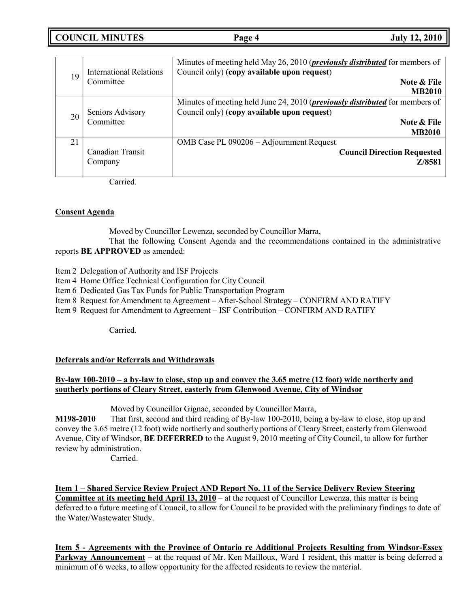| <b>COUNCIL MINUTES</b> | Page 4 | <b>July 12, 2010</b> |
|------------------------|--------|----------------------|
|                        |        |                      |

| 19 | <b>International Relations</b><br>Committee | Minutes of meeting held May 26, 2010 ( <i>previously distributed</i> for members of<br>Council only) (copy available upon request)<br>Note & File<br><b>MB2010</b>  |
|----|---------------------------------------------|---------------------------------------------------------------------------------------------------------------------------------------------------------------------|
| 20 | Seniors Advisory<br>Committee               | Minutes of meeting held June 24, 2010 ( <i>previously distributed</i> for members of<br>Council only) (copy available upon request)<br>Note & File<br><b>MB2010</b> |
| 21 | Canadian Transit<br>Company                 | OMB Case PL 090206 - Adjournment Request<br><b>Council Direction Requested</b><br>Z/8581                                                                            |

Carried.

# **Consent Agenda**

Moved by Councillor Lewenza, seconded by Councillor Marra,

That the following Consent Agenda and the recommendations contained in the administrative reports **BE APPROVED** as amended:

- Item 2 Delegation of Authority and ISF Projects
- Item 4 Home Office Technical Configuration for City Council
- Item 6 Dedicated Gas Tax Funds for Public Transportation Program
- Item 8 Request for Amendment to Agreement After-School Strategy CONFIRM AND RATIFY
- Item 9 Request for Amendment to Agreement ISF Contribution CONFIRM AND RATIFY

Carried.

#### **Deferrals and/or Referrals and Withdrawals**

# **By-law 100-2010 – a by-law to close, stop up and convey the 3.65 metre (12 foot) wide northerly and southerly portions of Cleary Street, easterly from Glenwood Avenue, City of Windsor**

Moved by Councillor Gignac, seconded by Councillor Marra,

**M198-2010** That first, second and third reading of By-law 100-2010, being a by-law to close, stop up and convey the 3.65 metre (12 foot) wide northerly and southerly portions of Cleary Street, easterly from Glenwood Avenue, City of Windsor, **BE DEFERRED** to the August 9, 2010 meeting of City Council, to allow for further review by administration.

Carried.

**Item 1 – Shared Service Review Project AND Report No. 11 of the Service Delivery Review Steering Committee at its meeting held April 13, 2010** – at the request of Councillor Lewenza, this matter is being deferred to a future meeting of Council, to allow for Council to be provided with the preliminary findings to date of the Water/Wastewater Study.

**Item 5 - Agreements with the Province of Ontario re Additional Projects Resulting from Windsor-Essex Parkway Announcement** – at the request of Mr. Ken Mailloux, Ward 1 resident, this matter is being deferred a minimum of 6 weeks, to allow opportunity for the affected residents to review the material.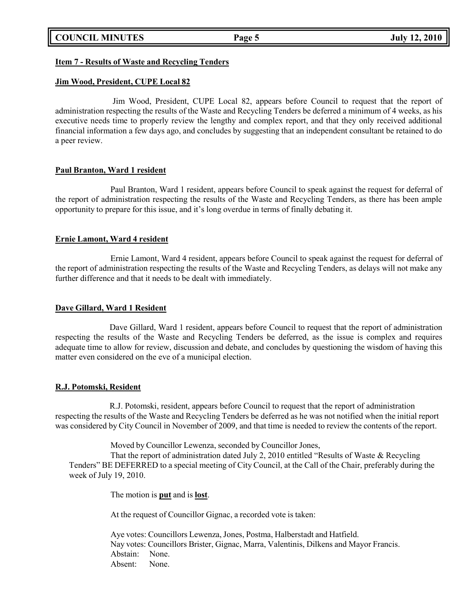## **Item 7 - Results of Waste and Recycling Tenders**

#### **Jim Wood, President, CUPE Local 82**

Jim Wood, President, CUPE Local 82, appears before Council to request that the report of administration respecting the results of the Waste and Recycling Tenders be deferred a minimum of 4 weeks, as his executive needs time to properly review the lengthy and complex report, and that they only received additional financial information a few days ago, and concludes by suggesting that an independent consultant be retained to do a peer review.

### **Paul Branton, Ward 1 resident**

Paul Branton, Ward 1 resident, appears before Council to speak against the request for deferral of the report of administration respecting the results of the Waste and Recycling Tenders, as there has been ample opportunity to prepare for this issue, and it's long overdue in terms of finally debating it.

### **Ernie Lamont, Ward 4 resident**

Ernie Lamont, Ward 4 resident, appears before Council to speak against the request for deferral of the report of administration respecting the results of the Waste and Recycling Tenders, as delays will not make any further difference and that it needs to be dealt with immediately.

## **Dave Gillard, Ward 1 Resident**

Dave Gillard, Ward 1 resident, appears before Council to request that the report of administration respecting the results of the Waste and Recycling Tenders be deferred, as the issue is complex and requires adequate time to allow for review, discussion and debate, and concludes by questioning the wisdom of having this matter even considered on the eve of a municipal election.

### **R.J. Potomski, Resident**

R.J. Potomski, resident, appears before Council to request that the report of administration respecting the results of the Waste and Recycling Tenders be deferred as he was not notified when the initial report was considered by City Council in November of 2009, and that time is needed to review the contents of the report.

Moved by Councillor Lewenza, seconded by Councillor Jones,

That the report of administration dated July 2, 2010 entitled "Results of Waste & Recycling Tenders" BE DEFERRED to a special meeting of City Council, at the Call of the Chair, preferably during the week of July 19, 2010.

The motion is **put** and is **lost**.

At the request of Councillor Gignac, a recorded vote is taken:

Aye votes: Councillors Lewenza, Jones, Postma, Halberstadt and Hatfield. Nay votes: Councillors Brister, Gignac, Marra, Valentinis, Dilkens and Mayor Francis. Abstain: None. Absent: None.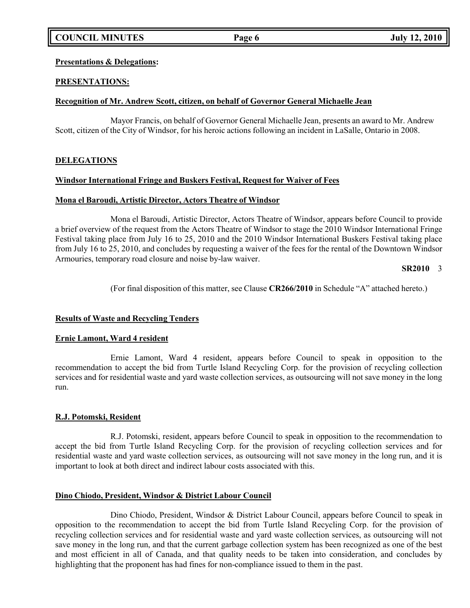# **Presentations & Delegations:**

# **PRESENTATIONS:**

# **Recognition of Mr. Andrew Scott, citizen, on behalf of Governor General Michaelle Jean**

Mayor Francis, on behalf of Governor General Michaelle Jean, presents an award to Mr. Andrew Scott, citizen of the City of Windsor, for his heroic actions following an incident in LaSalle, Ontario in 2008.

# **DELEGATIONS**

### **Windsor International Fringe and Buskers Festival, Request for Waiver of Fees**

### **Mona el Baroudi, Artistic Director, Actors Theatre of Windsor**

Mona el Baroudi, Artistic Director, Actors Theatre of Windsor, appears before Council to provide a brief overview of the request from the Actors Theatre of Windsor to stage the 2010 Windsor International Fringe Festival taking place from July 16 to 25, 2010 and the 2010 Windsor International Buskers Festival taking place from July 16 to 25, 2010, and concludes by requesting a waiver of the fees for the rental of the Downtown Windsor Armouries, temporary road closure and noise by-law waiver.

### **SR2010** 3

(For final disposition of this matter, see Clause **CR266/2010** in Schedule "A" attached hereto.)

# **Results of Waste and Recycling Tenders**

# **Ernie Lamont, Ward 4 resident**

Ernie Lamont, Ward 4 resident, appears before Council to speak in opposition to the recommendation to accept the bid from Turtle Island Recycling Corp. for the provision of recycling collection services and for residential waste and yard waste collection services, as outsourcing will not save money in the long run.

# **R.J. Potomski, Resident**

R.J. Potomski, resident, appears before Council to speak in opposition to the recommendation to accept the bid from Turtle Island Recycling Corp. for the provision of recycling collection services and for residential waste and yard waste collection services, as outsourcing will not save money in the long run, and it is important to look at both direct and indirect labour costs associated with this.

# **Dino Chiodo, President, Windsor & District Labour Council**

Dino Chiodo, President, Windsor & District Labour Council, appears before Council to speak in opposition to the recommendation to accept the bid from Turtle Island Recycling Corp. for the provision of recycling collection services and for residential waste and yard waste collection services, as outsourcing will not save money in the long run, and that the current garbage collection system has been recognized as one of the best and most efficient in all of Canada, and that quality needs to be taken into consideration, and concludes by highlighting that the proponent has had fines for non-compliance issued to them in the past.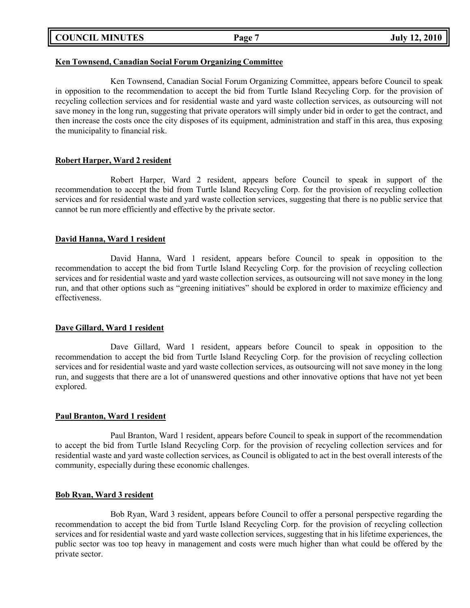|  | <b>COUNCIL MINUTES</b> |
|--|------------------------|
|--|------------------------|

#### **Ken Townsend, Canadian Social Forum Organizing Committee**

Ken Townsend, Canadian Social Forum Organizing Committee, appears before Council to speak in opposition to the recommendation to accept the bid from Turtle Island Recycling Corp. for the provision of recycling collection services and for residential waste and yard waste collection services, as outsourcing will not save money in the long run, suggesting that private operators will simply under bid in order to get the contract, and then increase the costs once the city disposes of its equipment, administration and staff in this area, thus exposing the municipality to financial risk.

# **Robert Harper, Ward 2 resident**

Robert Harper, Ward 2 resident, appears before Council to speak in support of the recommendation to accept the bid from Turtle Island Recycling Corp. for the provision of recycling collection services and for residential waste and yard waste collection services, suggesting that there is no public service that cannot be run more efficiently and effective by the private sector.

### **David Hanna, Ward 1 resident**

David Hanna, Ward 1 resident, appears before Council to speak in opposition to the recommendation to accept the bid from Turtle Island Recycling Corp. for the provision of recycling collection services and for residential waste and yard waste collection services, as outsourcing will not save money in the long run, and that other options such as "greening initiatives" should be explored in order to maximize efficiency and effectiveness.

#### **Dave Gillard, Ward 1 resident**

Dave Gillard, Ward 1 resident, appears before Council to speak in opposition to the recommendation to accept the bid from Turtle Island Recycling Corp. for the provision of recycling collection services and for residential waste and yard waste collection services, as outsourcing will not save money in the long run, and suggests that there are a lot of unanswered questions and other innovative options that have not yet been explored.

#### **Paul Branton, Ward 1 resident**

Paul Branton, Ward 1 resident, appears before Council to speak in support of the recommendation to accept the bid from Turtle Island Recycling Corp. for the provision of recycling collection services and for residential waste and yard waste collection services, as Council is obligated to act in the best overall interests of the community, especially during these economic challenges.

#### **Bob Ryan, Ward 3 resident**

Bob Ryan, Ward 3 resident, appears before Council to offer a personal perspective regarding the recommendation to accept the bid from Turtle Island Recycling Corp. for the provision of recycling collection services and for residential waste and yard waste collection services, suggesting that in his lifetime experiences, the public sector was too top heavy in management and costs were much higher than what could be offered by the private sector.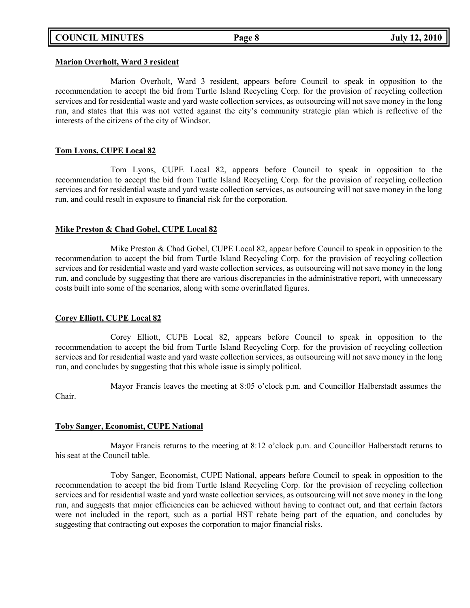#### **Marion Overholt, Ward 3 resident**

Marion Overholt, Ward 3 resident, appears before Council to speak in opposition to the recommendation to accept the bid from Turtle Island Recycling Corp. for the provision of recycling collection services and for residential waste and yard waste collection services, as outsourcing will not save money in the long run, and states that this was not vetted against the city's community strategic plan which is reflective of the interests of the citizens of the city of Windsor.

# **Tom Lyons, CUPE Local 82**

Tom Lyons, CUPE Local 82, appears before Council to speak in opposition to the recommendation to accept the bid from Turtle Island Recycling Corp. for the provision of recycling collection services and for residential waste and yard waste collection services, as outsourcing will not save money in the long run, and could result in exposure to financial risk for the corporation.

### **Mike Preston & Chad Gobel, CUPE Local 82**

Mike Preston & Chad Gobel, CUPE Local 82, appear before Council to speak in opposition to the recommendation to accept the bid from Turtle Island Recycling Corp. for the provision of recycling collection services and for residential waste and yard waste collection services, as outsourcing will not save money in the long run, and conclude by suggesting that there are various discrepancies in the administrative report, with unnecessary costs built into some of the scenarios, along with some overinflated figures.

# **Corey Elliott, CUPE Local 82**

Corey Elliott, CUPE Local 82, appears before Council to speak in opposition to the recommendation to accept the bid from Turtle Island Recycling Corp. for the provision of recycling collection services and for residential waste and yard waste collection services, as outsourcing will not save money in the long run, and concludes by suggesting that this whole issue is simply political.

Mayor Francis leaves the meeting at 8:05 o'clock p.m. and Councillor Halberstadt assumes the Chair.

# **Toby Sanger, Economist, CUPE National**

Mayor Francis returns to the meeting at 8:12 o'clock p.m. and Councillor Halberstadt returns to his seat at the Council table.

Toby Sanger, Economist, CUPE National, appears before Council to speak in opposition to the recommendation to accept the bid from Turtle Island Recycling Corp. for the provision of recycling collection services and for residential waste and yard waste collection services, as outsourcing will not save money in the long run, and suggests that major efficiencies can be achieved without having to contract out, and that certain factors were not included in the report, such as a partial HST rebate being part of the equation, and concludes by suggesting that contracting out exposes the corporation to major financial risks.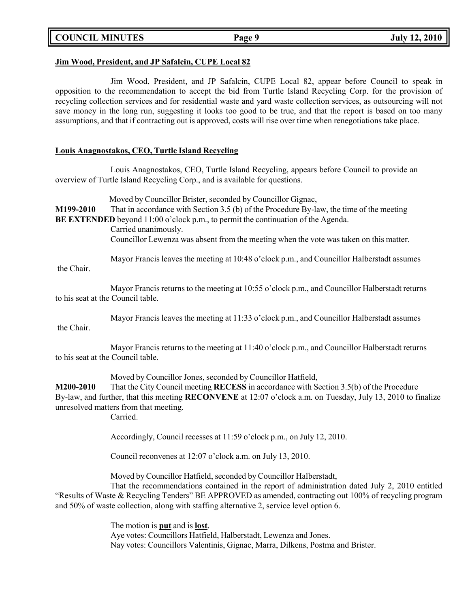**COUNCIL MINUTES Page 9 July 12, 2010**

## **Jim Wood, President, and JP Safalcin, CUPE Local 82**

Jim Wood, President, and JP Safalcin, CUPE Local 82, appear before Council to speak in opposition to the recommendation to accept the bid from Turtle Island Recycling Corp. for the provision of recycling collection services and for residential waste and yard waste collection services, as outsourcing will not save money in the long run, suggesting it looks too good to be true, and that the report is based on too many assumptions, and that if contracting out is approved, costs will rise over time when renegotiations take place.

## **Louis Anagnostakos, CEO, Turtle Island Recycling**

Louis Anagnostakos, CEO, Turtle Island Recycling, appears before Council to provide an overview of Turtle Island Recycling Corp., and is available for questions.

Moved by Councillor Brister, seconded by Councillor Gignac, **M199-2010** That in accordance with Section 3.5 (b) of the Procedure By-law, the time of the meeting **BE EXTENDED** beyond 11:00 o'clock p.m., to permit the continuation of the Agenda. Carried unanimously.

Councillor Lewenza was absent from the meeting when the vote was taken on this matter.

Mayor Francis leaves the meeting at 10:48 o'clock p.m., and Councillor Halberstadt assumes

the Chair.

Mayor Francis returns to the meeting at 10:55 o'clock p.m., and Councillor Halberstadt returns to his seat at the Council table.

Mayor Francis leaves the meeting at 11:33 o'clock p.m., and Councillor Halberstadt assumes

the Chair.

Mayor Francis returns to the meeting at 11:40 o'clock p.m., and Councillor Halberstadt returns to his seat at the Council table.

Moved by Councillor Jones, seconded by Councillor Hatfield,

**M200-2010** That the City Council meeting **RECESS** in accordance with Section 3.5(b) of the Procedure By-law, and further, that this meeting **RECONVENE** at 12:07 o'clock a.m. on Tuesday, July 13, 2010 to finalize unresolved matters from that meeting.

Carried.

Accordingly, Council recesses at 11:59 o'clock p.m., on July 12, 2010.

Council reconvenes at 12:07 o'clock a.m. on July 13, 2010.

Moved by Councillor Hatfield, seconded by Councillor Halberstadt,

That the recommendations contained in the report of administration dated July 2, 2010 entitled "Results of Waste & Recycling Tenders" BE APPROVED as amended, contracting out 100% of recycling program and 50% of waste collection, along with staffing alternative 2, service level option 6.

> The motion is **put** and is **lost**. Aye votes: Councillors Hatfield, Halberstadt, Lewenza and Jones. Nay votes: Councillors Valentinis, Gignac, Marra, Dilkens, Postma and Brister.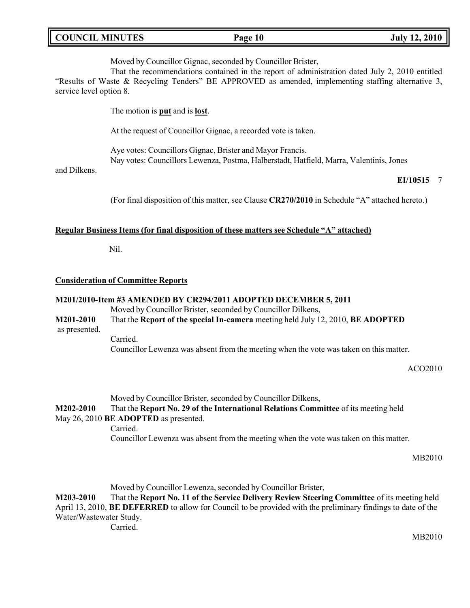|  | <b>COUNCIL MINUTES</b> |
|--|------------------------|
|--|------------------------|

Moved by Councillor Gignac, seconded by Councillor Brister,

That the recommendations contained in the report of administration dated July 2, 2010 entitled "Results of Waste & Recycling Tenders" BE APPROVED as amended, implementing staffing alternative 3, service level option 8.

The motion is **put** and is **lost**.

At the request of Councillor Gignac, a recorded vote is taken.

Aye votes: Councillors Gignac, Brister and Mayor Francis. Nay votes: Councillors Lewenza, Postma, Halberstadt, Hatfield, Marra, Valentinis, Jones

and Dilkens.

#### **EI/10515** 7

(For final disposition of this matter, see Clause **CR270/2010** in Schedule "A" attached hereto.)

### **Regular Business Items (for final disposition of these matters see Schedule "A" attached)**

Nil.

#### **Consideration of Committee Reports**

### **M201/2010-Item #3 AMENDED BY CR294/2011 ADOPTED DECEMBER 5, 2011**

Moved by Councillor Brister, seconded by Councillor Dilkens,

**M201-2010** That the **Report of the special In-camera** meeting held July 12, 2010, **BE ADOPTED** as presented. Carried.

Councillor Lewenza was absent from the meeting when the vote was taken on this matter.

#### ACO2010

Moved by Councillor Brister, seconded by Councillor Dilkens, **M202-2010** That the **Report No. 29 of the International Relations Committee** of its meeting held May 26, 2010 **BE ADOPTED** as presented. Carried. Councillor Lewenza was absent from the meeting when the vote was taken on this matter.

MB2010

Moved by Councillor Lewenza, seconded by Councillor Brister,

**M203-2010** That the **Report No. 11 of the Service Delivery Review Steering Committee** of its meeting held April 13, 2010, **BE DEFERRED** to allow for Council to be provided with the preliminary findings to date of the Water/Wastewater Study.

Carried.

MB2010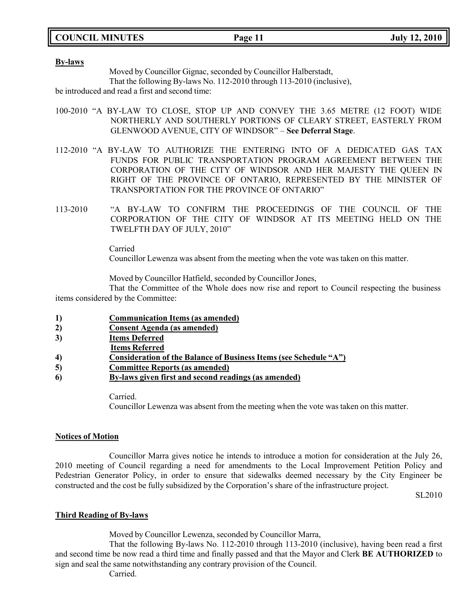**COUNCIL MINUTES Page 11 July 12, 2010**

#### **By-laws**

Moved by Councillor Gignac, seconded by Councillor Halberstadt,

That the following By-laws No. 112-2010 through 113-2010 (inclusive),

be introduced and read a first and second time:

- 100-2010 "A BY-LAW TO CLOSE, STOP UP AND CONVEY THE 3.65 METRE (12 FOOT) WIDE NORTHERLY AND SOUTHERLY PORTIONS OF CLEARY STREET, EASTERLY FROM GLENWOOD AVENUE, CITY OF WINDSOR" – **See Deferral Stage**.
- 112-2010 "A BY-LAW TO AUTHORIZE THE ENTERING INTO OF A DEDICATED GAS TAX FUNDS FOR PUBLIC TRANSPORTATION PROGRAM AGREEMENT BETWEEN THE CORPORATION OF THE CITY OF WINDSOR AND HER MAJESTY THE QUEEN IN RIGHT OF THE PROVINCE OF ONTARIO, REPRESENTED BY THE MINISTER OF TRANSPORTATION FOR THE PROVINCE OF ONTARIO"
- 113-2010 "A BY-LAW TO CONFIRM THE PROCEEDINGS OF THE COUNCIL OF THE CORPORATION OF THE CITY OF WINDSOR AT ITS MEETING HELD ON THE TWELFTH DAY OF JULY, 2010"

Carried

Councillor Lewenza was absent from the meeting when the vote was taken on this matter.

Moved by Councillor Hatfield, seconded by Councillor Jones,

That the Committee of the Whole does now rise and report to Council respecting the business items considered by the Committee:

- **1) Communication Items (as amended)**
- **2) Consent Agenda (as amended)**
- **3) Items Deferred**
- **Items Referred**
- **4) Consideration of the Balance of Business Items (see Schedule "A")**
- **5) Committee Reports (as amended)**
- **6) By-laws given first and second readings (as amended)**

Carried. Councillor Lewenza was absent from the meeting when the vote was taken on this matter.

# **Notices of Motion**

Councillor Marra gives notice he intends to introduce a motion for consideration at the July 26, 2010 meeting of Council regarding a need for amendments to the Local Improvement Petition Policy and Pedestrian Generator Policy, in order to ensure that sidewalks deemed necessary by the City Engineer be constructed and the cost be fully subsidized by the Corporation's share of the infrastructure project.

SL2010

# **Third Reading of By-laws**

Moved by Councillor Lewenza, seconded by Councillor Marra,

That the following By-laws No. 112-2010 through 113-2010 (inclusive), having been read a first and second time be now read a third time and finally passed and that the Mayor and Clerk **BE AUTHORIZED** to sign and seal the same notwithstanding any contrary provision of the Council.

Carried.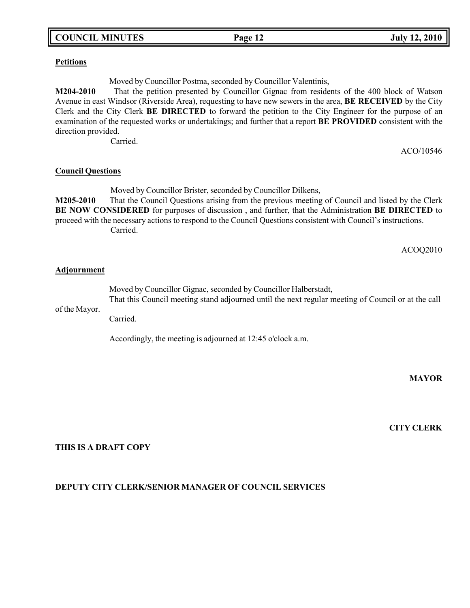# **COUNCIL MINUTES Page 12 July 12, 2010**

#### **Petitions**

Moved by Councillor Postma, seconded by Councillor Valentinis,

**M204-2010** That the petition presented by Councillor Gignac from residents of the 400 block of Watson Avenue in east Windsor (Riverside Area), requesting to have new sewers in the area, **BE RECEIVED** by the City Clerk and the City Clerk **BE DIRECTED** to forward the petition to the City Engineer for the purpose of an examination of the requested works or undertakings; and further that a report **BE PROVIDED** consistent with the direction provided.

Carried.

ACO/10546

## **Council Questions**

Moved by Councillor Brister, seconded by Councillor Dilkens, **M205-2010** That the Council Questions arising from the previous meeting of Council and listed by the Clerk **BE NOW CONSIDERED** for purposes of discussion , and further, that the Administration **BE DIRECTED** to proceed with the necessary actions to respond to the Council Questions consistent with Council's instructions. Carried.

ACOQ2010

## **Adjournment**

Moved by Councillor Gignac, seconded by Councillor Halberstadt, That this Council meeting stand adjourned until the next regular meeting of Council or at the call

of the Mayor.

Carried.

Accordingly, the meeting is adjourned at 12:45 o'clock a.m.

#### **MAYOR**

**CITY CLERK**

## **THIS IS A DRAFT COPY**

# **DEPUTY CITY CLERK/SENIOR MANAGER OF COUNCIL SERVICES**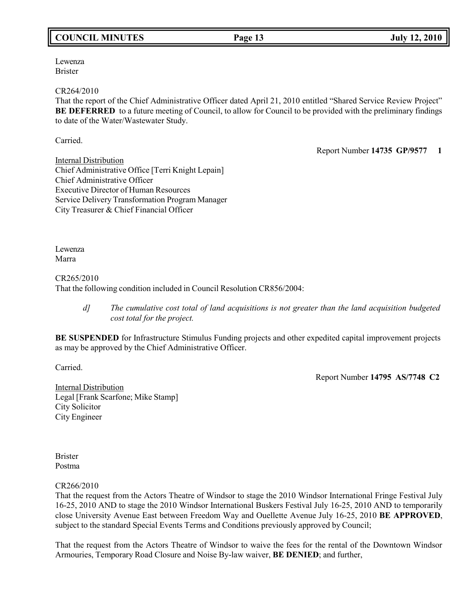# **COUNCIL MINUTES Page 13 July 12, 2010**

Lewenza Brister

#### CR264/2010

That the report of the Chief Administrative Officer dated April 21, 2010 entitled "Shared Service Review Project" **BE DEFERRED** to a future meeting of Council, to allow for Council to be provided with the preliminary findings to date of the Water/Wastewater Study.

Carried.

Report Number **14735 GP/9577 1**

**Internal Distribution** Chief Administrative Office [Terri Knight Lepain] Chief Administrative Officer Executive Director of Human Resources Service Delivery Transformation Program Manager City Treasurer & Chief Financial Officer

Lewenza Marra

# CR265/2010

That the following condition included in Council Resolution CR856/2004:

*d] The cumulative cost total of land acquisitions is not greater than the land acquisition budgeted cost total for the project.*

**BE SUSPENDED** for Infrastructure Stimulus Funding projects and other expedited capital improvement projects as may be approved by the Chief Administrative Officer.

Carried.

Report Number **14795 AS/7748 C2**

Internal Distribution Legal [Frank Scarfone; Mike Stamp] City Solicitor City Engineer

Brister Postma

CR266/2010

That the request from the Actors Theatre of Windsor to stage the 2010 Windsor International Fringe Festival July 16-25, 2010 AND to stage the 2010 Windsor International Buskers Festival July 16-25, 2010 AND to temporarily close University Avenue East between Freedom Way and Ouellette Avenue July 16-25, 2010 **BE APPROVED**, subject to the standard Special Events Terms and Conditions previously approved by Council;

That the request from the Actors Theatre of Windsor to waive the fees for the rental of the Downtown Windsor Armouries, Temporary Road Closure and Noise By-law waiver, **BE DENIED**; and further,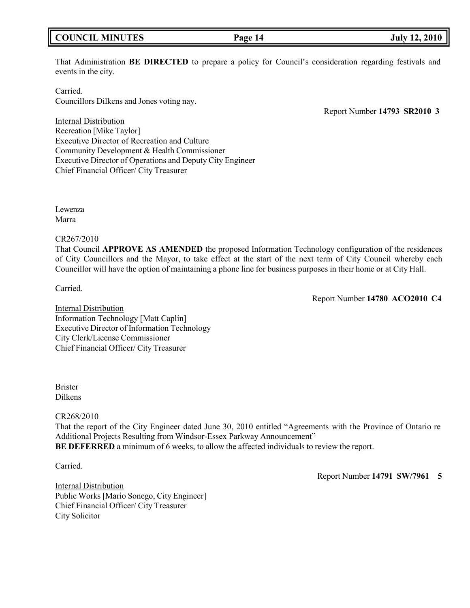# **COUNCIL MINUTES Page 14 July 12, 2010**

That Administration **BE DIRECTED** to prepare a policy for Council's consideration regarding festivals and events in the city.

Carried.

Councillors Dilkens and Jones voting nay.

Report Number **14793 SR2010 3**

Internal Distribution Recreation [Mike Taylor] Executive Director of Recreation and Culture Community Development & Health Commissioner Executive Director of Operations and Deputy City Engineer Chief Financial Officer/ City Treasurer

Lewenza Marra

### CR267/2010

That Council **APPROVE AS AMENDED** the proposed Information Technology configuration of the residences of City Councillors and the Mayor, to take effect at the start of the next term of City Council whereby each Councillor will have the option of maintaining a phone line for business purposes in their home or at City Hall.

Carried.

Report Number **14780 ACO2010 C4**

Internal Distribution Information Technology [Matt Caplin] Executive Director of Information Technology City Clerk/License Commissioner Chief Financial Officer/ City Treasurer

Brister Dilkens

# CR268/2010

That the report of the City Engineer dated June 30, 2010 entitled "Agreements with the Province of Ontario re Additional Projects Resulting from Windsor-Essex Parkway Announcement" **BE DEFERRED** a minimum of 6 weeks, to allow the affected individuals to review the report.

Carried.

Report Number **14791 SW/7961 5**

Internal Distribution Public Works [Mario Sonego, City Engineer] Chief Financial Officer/ City Treasurer City Solicitor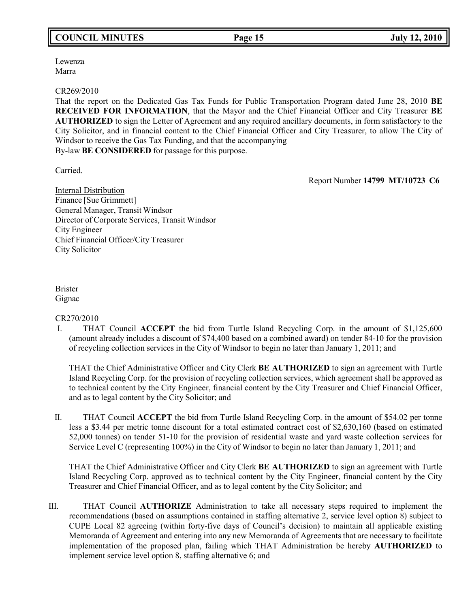Lewenza Marra

### CR269/2010

That the report on the Dedicated Gas Tax Funds for Public Transportation Program dated June 28, 2010 **BE RECEIVED FOR INFORMATION**, that the Mayor and the Chief Financial Officer and City Treasurer **BE AUTHORIZED** to sign the Letter of Agreement and any required ancillary documents, in form satisfactory to the City Solicitor, and in financial content to the Chief Financial Officer and City Treasurer, to allow The City of Windsor to receive the Gas Tax Funding, and that the accompanying By-law **BE CONSIDERED** for passage for this purpose.

Carried.

Report Number **14799 MT/10723 C6**

Internal Distribution Finance [Sue Grimmett] General Manager, Transit Windsor Director of Corporate Services, Transit Windsor City Engineer Chief Financial Officer/City Treasurer City Solicitor

Brister Gignac

# CR270/2010

I. THAT Council **ACCEPT** the bid from Turtle Island Recycling Corp. in the amount of \$1,125,600 (amount already includes a discount of \$74,400 based on a combined award) on tender 84-10 for the provision of recycling collection services in the City of Windsor to begin no later than January 1, 2011; and

THAT the Chief Administrative Officer and City Clerk **BE AUTHORIZED** to sign an agreement with Turtle Island Recycling Corp. for the provision of recycling collection services, which agreement shall be approved as to technical content by the City Engineer, financial content by the City Treasurer and Chief Financial Officer, and as to legal content by the City Solicitor; and

II. THAT Council **ACCEPT** the bid from Turtle Island Recycling Corp. in the amount of \$54.02 per tonne less a \$3.44 per metric tonne discount for a total estimated contract cost of \$2,630,160 (based on estimated 52,000 tonnes) on tender 51-10 for the provision of residential waste and yard waste collection services for Service Level C (representing 100%) in the City of Windsor to begin no later than January 1, 2011; and

THAT the Chief Administrative Officer and City Clerk **BE AUTHORIZED** to sign an agreement with Turtle Island Recycling Corp. approved as to technical content by the City Engineer, financial content by the City Treasurer and Chief Financial Officer, and as to legal content by the City Solicitor; and

III. THAT Council **AUTHORIZE** Administration to take all necessary steps required to implement the recommendations (based on assumptions contained in staffing alternative 2, service level option 8) subject to CUPE Local 82 agreeing (within forty-five days of Council's decision) to maintain all applicable existing Memoranda of Agreement and entering into any new Memoranda of Agreements that are necessary to facilitate implementation of the proposed plan, failing which THAT Administration be hereby **AUTHORIZED** to implement service level option 8, staffing alternative 6; and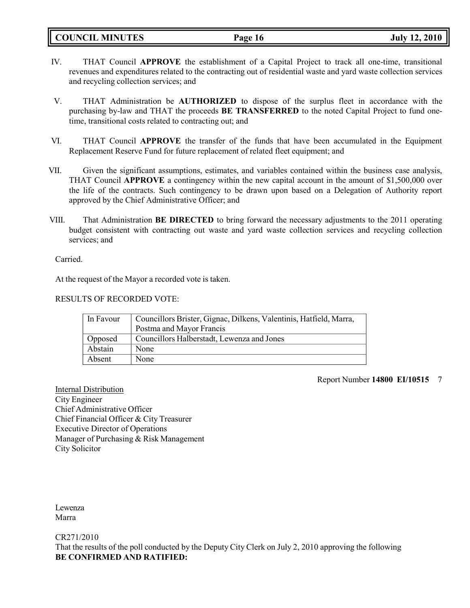**COUNCIL MINUTES Page 16 July 12, 2010**

- IV. THAT Council **APPROVE** the establishment of a Capital Project to track all one-time, transitional revenues and expenditures related to the contracting out of residential waste and yard waste collection services and recycling collection services; and
- V. THAT Administration be **AUTHORIZED** to dispose of the surplus fleet in accordance with the purchasing by-law and THAT the proceeds **BE TRANSFERRED** to the noted Capital Project to fund onetime, transitional costs related to contracting out; and
- VI. THAT Council **APPROVE** the transfer of the funds that have been accumulated in the Equipment Replacement Reserve Fund for future replacement of related fleet equipment; and
- VII. Given the significant assumptions, estimates, and variables contained within the business case analysis, THAT Council **APPROVE** a contingency within the new capital account in the amount of \$1,500,000 over the life of the contracts. Such contingency to be drawn upon based on a Delegation of Authority report approved by the Chief Administrative Officer; and
- VIII. That Administration **BE DIRECTED** to bring forward the necessary adjustments to the 2011 operating budget consistent with contracting out waste and yard waste collection services and recycling collection services; and

Carried.

At the request of the Mayor a recorded vote is taken.

### RESULTS OF RECORDED VOTE:

| In Favour | Councillors Brister, Gignac, Dilkens, Valentinis, Hatfield, Marra,<br>Postma and Mayor Francis |
|-----------|------------------------------------------------------------------------------------------------|
| Opposed   | Councillors Halberstadt, Lewenza and Jones                                                     |
| Abstain   | None                                                                                           |
| Absent    | None                                                                                           |

Report Number **14800 EI/10515** 7

Internal Distribution City Engineer Chief Administrative Officer Chief Financial Officer & City Treasurer Executive Director of Operations Manager of Purchasing & Risk Management City Solicitor

Lewenza Marra

CR271/2010

That the results of the poll conducted by the Deputy City Clerk on July 2, 2010 approving the following **BE CONFIRMED AND RATIFIED:**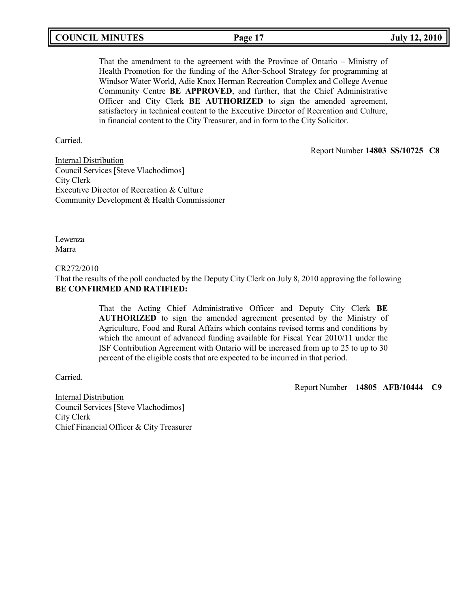| <b>COUNCIL MINUTES</b> | Page 17 | <b>July 12, 2010</b> |
|------------------------|---------|----------------------|
|------------------------|---------|----------------------|

That the amendment to the agreement with the Province of Ontario – Ministry of Health Promotion for the funding of the After-School Strategy for programming at Windsor Water World, Adie Knox Herman Recreation Complex and College Avenue Community Centre **BE APPROVED**, and further, that the Chief Administrative Officer and City Clerk **BE AUTHORIZED** to sign the amended agreement, satisfactory in technical content to the Executive Director of Recreation and Culture, in financial content to the City Treasurer, and in form to the City Solicitor.

Carried.

Report Number **14803 SS/10725 C8**

Internal Distribution Council Services[Steve Vlachodimos] City Clerk Executive Director of Recreation & Culture Community Development & Health Commissioner

Lewenza Marra

### CR272/2010

That the results of the poll conducted by the Deputy City Clerk on July 8, 2010 approving the following **BE CONFIRMED AND RATIFIED:**

> That the Acting Chief Administrative Officer and Deputy City Clerk **BE AUTHORIZED** to sign the amended agreement presented by the Ministry of Agriculture, Food and Rural Affairs which contains revised terms and conditions by which the amount of advanced funding available for Fiscal Year 2010/11 under the ISF Contribution Agreement with Ontario will be increased from up to 25 to up to 30 percent of the eligible costs that are expected to be incurred in that period.

Carried.

Report Number **14805 AFB/10444 C9**

Internal Distribution Council Services[Steve Vlachodimos] City Clerk Chief Financial Officer & City Treasurer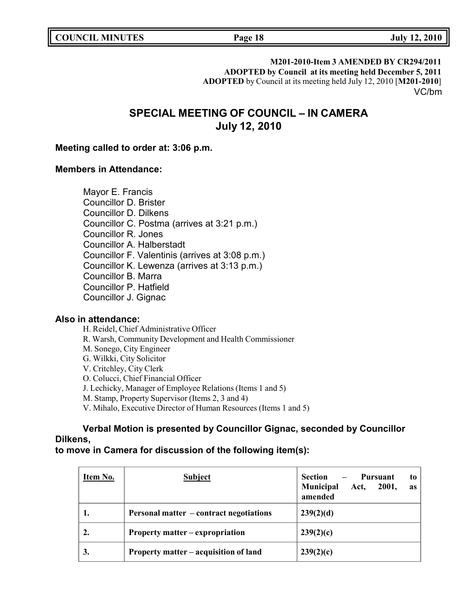**M201-2010-Item 3 AMENDED BY CR294/2011**

**ADOPTED by Council at its meeting held December 5, 2011 ADOPTED** by Council at its meeting held July 12, 2010 [**M201-2010**] VC/bm

# **SPECIAL MEETING OF COUNCIL – IN CAMERA July 12, 2010**

# **Meeting called to order at: 3:06 p.m.**

# **Members in Attendance:**

Mayor E. Francis Councillor D. Brister Councillor D. Dilkens Councillor C. Postma (arrives at 3:21 p.m.) Councillor R. Jones Councillor A. Halberstadt Councillor F. Valentinis (arrives at 3:08 p.m.) Councillor K. Lewenza (arrives at 3:13 p.m.) Councillor B. Marra Councillor P. Hatfield Councillor J. Gignac

# **Also in attendance:**

H. Reidel, Chief Administrative Officer R. Warsh, Community Development and Health Commissioner M. Sonego, City Engineer G. Wilkki, City Solicitor V. Critchley, City Clerk O. Colucci, Chief Financial Officer J. Lechicky, Manager of Employee Relations (Items 1 and 5) M. Stamp, Property Supervisor (Items 2, 3 and 4) V. Mihalo, Executive Director of Human Resources (Items 1 and 5)

# **Verbal Motion is presented by Councillor Gignac, seconded by Councillor Dilkens,**

# **to move in Camera for discussion of the following item(s):**

| Item No. | <b>Subject</b>                                 | <b>Section</b><br>Pursuant<br>to<br><b>Municipal</b><br>Act,<br>2001,<br><b>as</b><br>amended |
|----------|------------------------------------------------|-----------------------------------------------------------------------------------------------|
|          | <b>Personal matter – contract negotiations</b> | 239(2)(d)                                                                                     |
|          | Property matter – expropriation                | 239(2)(c)                                                                                     |
| 3.       | Property matter – acquisition of land          | 239(2)(c)                                                                                     |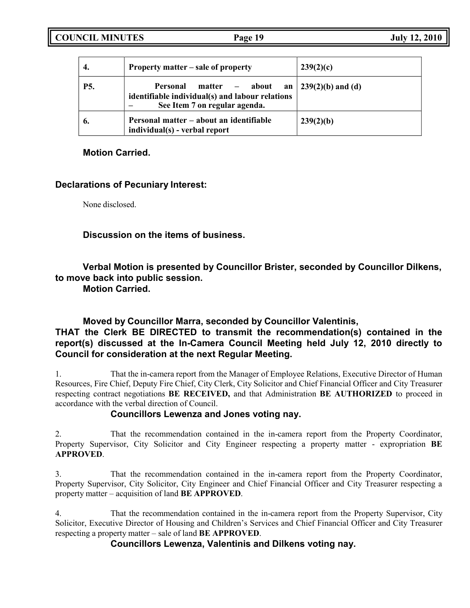| 4.         | Property matter – sale of property                                                                                   | 239(2)(c)                       |
|------------|----------------------------------------------------------------------------------------------------------------------|---------------------------------|
| <b>P5.</b> | Personal<br>matter – about<br>an<br>identifiable individual(s) and labour relations<br>See Item 7 on regular agenda. | $\frac{1}{2}$ 239(2)(b) and (d) |
| 6.         | Personal matter – about an identifiable<br>individual(s) - verbal report                                             | 239(2)(b)                       |

# **Motion Carried.**

# **Declarations of Pecuniary Interest:**

None disclosed.

**Discussion on the items of business.**

**Verbal Motion is presented by Councillor Brister, seconded by Councillor Dilkens, to move back into public session.**

**Motion Carried.**

# **Moved by Councillor Marra, seconded by Councillor Valentinis,**

# **THAT the Clerk BE DIRECTED to transmit the recommendation(s) contained in the report(s) discussed at the In-Camera Council Meeting held July 12, 2010 directly to Council for consideration at the next Regular Meeting.**

1. That the in-camera report from the Manager of Employee Relations, Executive Director of Human Resources, Fire Chief, Deputy Fire Chief, City Clerk, City Solicitor and Chief Financial Officer and City Treasurer respecting contract negotiations **BE RECEIVED,** and that Administration **BE AUTHORIZED** to proceed in accordance with the verbal direction of Council.

# **Councillors Lewenza and Jones voting nay.**

2. That the recommendation contained in the in-camera report from the Property Coordinator, Property Supervisor, City Solicitor and City Engineer respecting a property matter - expropriation **BE APPROVED**.

3. That the recommendation contained in the in-camera report from the Property Coordinator, Property Supervisor, City Solicitor, City Engineer and Chief Financial Officer and City Treasurer respecting a property matter – acquisition of land **BE APPROVED**.

4. That the recommendation contained in the in-camera report from the Property Supervisor, City Solicitor, Executive Director of Housing and Children's Services and Chief Financial Officer and City Treasurer respecting a property matter – sale of land **BE APPROVED**.

# **Councillors Lewenza, Valentinis and Dilkens voting nay.**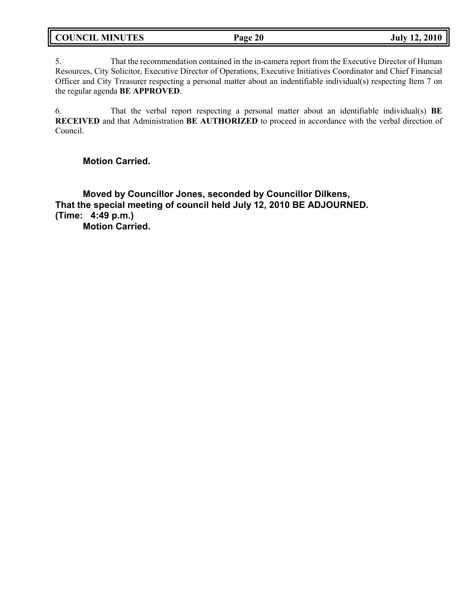| <b>COUNCIL MINUTES</b> | Page 20 | <b>July 12, 2010</b> |
|------------------------|---------|----------------------|
|                        |         |                      |

5. That the recommendation contained in the in-camera report from the Executive Director of Human Resources, City Solicitor, Executive Director of Operations, Executive Initiatives Coordinator and Chief Financial Officer and City Treasurer respecting a personal matter about an indentifiable individual(s) respecting Item 7 on the regular agenda **BE APPROVED**.

6. That the verbal report respecting a personal matter about an identifiable individual(s) **BE RECEIVED** and that Administration **BE AUTHORIZED** to proceed in accordance with the verbal direction of Council.

**Motion Carried.**

**Moved by Councillor Jones, seconded by Councillor Dilkens, That the special meeting of council held July 12, 2010 BE ADJOURNED. (Time: 4:49 p.m.) Motion Carried.**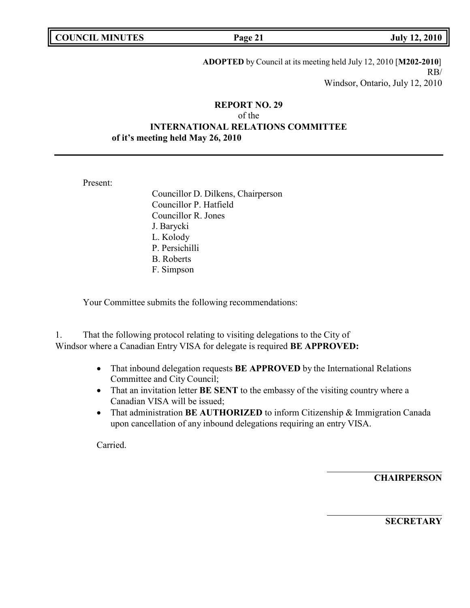| <b>COUNCIL MINUTES</b> |  |
|------------------------|--|
|------------------------|--|

**COUNCIL EXECUTE:** Fig. 2010<br> **COUNCIL COUNCIL COUNCIL COUNCIL COUNCIL COUNCIL COUNCIL COUNCIL COUNCIL COUNCIL COUNCIL** 

**ADOPTED** by Council at its meeting held July 12, 2010 [**M202-2010**] RB/ Windsor, Ontario, July 12, 2010

# **REPORT NO. 29** of the **INTERNATIONAL RELATIONS COMMITTEE of it's meeting held May 26, 2010**

Present:

Councillor D. Dilkens, Chairperson Councillor P. Hatfield Councillor R. Jones J. Barycki L. Kolody P. Persichilli B. Roberts F. Simpson

Your Committee submits the following recommendations:

1. That the following protocol relating to visiting delegations to the City of Windsor where a Canadian Entry VISA for delegate is required **BE APPROVED:**

- That inbound delegation requests **BE APPROVED** by the International Relations Committee and City Council;
- That an invitation letter **BE SENT** to the embassy of the visiting country where a Canadian VISA will be issued;
- That administration **BE AUTHORIZED** to inform Citizenship & Immigration Canada upon cancellation of any inbound delegations requiring an entry VISA.

Carried.

**CHAIRPERSON**

**SECRETARY**